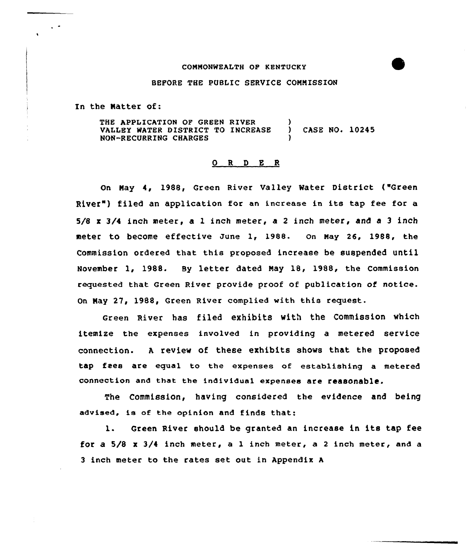### COMMONWEALTH OF KENTUCKY

### BEFORE THE PUBLIC SERVICE COMMISSION

In the Natter of:

THE APPLICATION OF GREEN RIVER (1) VALLEY WATER DISTRICT TO INCREASE ) CASE NO. 10245 NON-RECURRING CHARGES )

#### Q R D E R

On May 4, 198S, Green River Valley Water District ("Green River") filed an application for an increase in its tap fee for a 5/8 x 3/4 inch meter, a 1 inch meter, a 2 inch meter, and a 3 inch meter to become effective June 1, 1988. on May 26, 1988, the Commission ordered that this proposed increase be suspended until November 1, 1988. By letter dated May 18, 1988, the Commission requested that Green River provide proof of publication of notice. On Nay 27, 1988, Green River complied with this request.

Green River has filed exhibits with the Commission which itemize the expenses involved in providing a metered service connection. <sup>A</sup> review of these exhibits shows that the proposed tap fees are equal to the expenses of establishing a metered connection and that the individual expenses are reasonable.

The Commission, having considered the evidence and being advised, is of the opinion and finds that:

1. Green River should be granted an increase in its tap fee for a 5/8 x 3/4 inch meter, a 1 inch meter, a 2 inch meter, and a 3 inch meter to the rates set out in Appendix <sup>A</sup>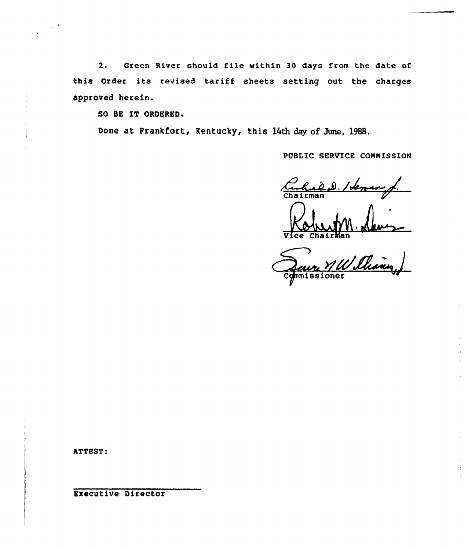2. Green River should file within 30 days from the date of this Order its revised tariff sheets setting out the charges approved herein.

SO BE IT ORDERED.

Done at Prankfort, Kentucky, this 14th day of June, 1988.

PUBLIC SERVICE CONNISSION

Cahabel / Leman

Chairman<br>Version Channel Comissioner

ATTEST

Executive Director